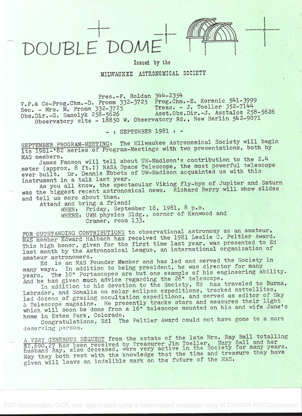## DOUBLE DOME



o

Issued by the

MILWAUKEE ASTRONOMICAL SOCIETY

 $Press.-F.$  Roldan  $344-2354$ 

v.P.& Co-Prog.Chm.-D. Fromm 332-3725 Prog.Chm.-E. Korenic 541-3999<br>Sec. - Mrs. M. Fromm 332-3725 Treas. - J. Toeller 352-7144 Sec. - Mrs. M. Fromm 332-3725<br>Obs.Dir.-G. Samolyk 258-5626<br>Asst.Obs.Dir.-J. Asztalos 258-5626 Obs.]Jir.-G. Samolyk 258-5626 Asst.Obs.Dir.-J. Asztalos 258-5626 Observatory site - 18850 W. Observatory Rd., New Berlin 542-9071

- : SEPTEMBER 1981 : -

SEPTEMBER PROGRAM-MEETING: The Milwaukee Astronomical Society will begin its 1981-'82 series of Program-Meetings with two presentations, both by

MAS members.<br>James Fanson will tell about UW-Madison's contribution to the 2.4 meter (approx. 8 ft.!) NASA Space Telescope, the most powerful telescope ever built. Dr. Dennis Ebbets of UW-Madison acquainted us with this instrument in a talk last year.

instrument in a talk last year. As you all know, the spectacular Viking fly-bys of Jupiter and Saturn was the biggest recent astronomical news. Richard Berry will show slides and tell us more about them.

Attend and bring a friend!

WHEN: Friday, September 18, 1981, 8 p.m. WHERE: UWM physics Bldg. , corner of Kenwood and Cramer, room 133.

FOR OUTSTANDING CONTRIBUTIONS to observational astronomy as an amateur, MAS member Edward Halbach has received the 1981 Leslie C. Peltier Award. This high honor, given for the first time last year, was presented to Ed last month by the Astronomical League, an international organization of amateur astronomers.

amateur astronomers.<br>
Ed. is an MAS Founder Member and has led and served the Society in many ways. In addition to being president, he was director for many<br>many ways. In addition to being president, he was director for many many ways. In addition we see but one example of his engineering ability. And he has given much advice regarding the 26" telescope.

In addition to his devotion to the Society, Ed has traveled to Burma, Labrador, and Somalia on solar eclipse expeditions, tracked sattellites, led dozens of grazing occultation expeditions, and served as editor of Sky Led dozens of grazing cocartaciently tracks stars and measures their light which will soon be done from a 16" telescope mounted on his and wife Jane's home in Estes Park, Colorado.

Congratulations, Ed! The Peltier Award could not have gone to a more deserving person.

A VERY GENEROUS BEQUEST from the estate of the late Mrs. Ray Ball totalling A VERY GENEROUS BEQUEST ITOM THE SESSURE Jim Toeller. Mary Ball and her<br>\$2,690.27 has been received by Treasurer Jim Toeller. Mary Ball and her \$2,690.27 has been received by ileasurer ive in the Society for many years.<br>husband Ray, also deceased, were very active in the snd treasure they have husband Ray, also deceased, wild wild the time and treasure they have may they boom issue mannelible mark on the future of the MAS.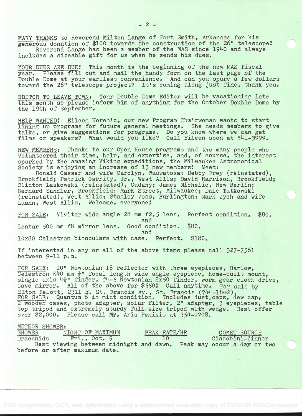MANY THANKS to Reverend Milton Lange of Fort Smith, Arkansas for his generous donation of \$100 towards the construction of the 26" telescope! Reverend Lange has been a member of the MAS since 1940 and always includes a sizeable gift for us when he sends his dues.

YOUR DUES ARE DUE! This month is the beginning of the new MAS fiscal year. Please fill out and mail the handy form on the last page of the Double Dome at your earliest convenience. And can you spare a few dollars toward the 26" telescope project? It's coming along just fine, thank you.

EDITOR TO LEAVE TOWN: Your Double Dome Editor will be vacationing late this month so please inform him of anything for the October Double Dome by the 19th of September.

HELP WANTED: Eileen Korenic, our new Program Chairwoman wants to start lining up programs for future general meetings. She needs members to give talks, or give suggestions for programs. Do you know where we can get films or speakers? What would you like? Call Eileen soon at 541-3999.

NEW MEMBERS: Thanks to our Open House programs and the many people who volunteered their time, help, and expertise, and, of course, the interest sparked by the amazing Viking expeditions, the Milwaukee Astronomical Society is enjoying an increase of 13 new members: Meet:

Donald Casser and wife Carolyn, Wauwatosa; Debby Frey (reinstated), Brookfield; Patrick Garrity, Jr., West Allis; David Harrison, Brookfield; Clinton Laskowski (reinstated), Cudahy; James Michelic, New Berlin; Bernard Sandier, Brookfield; Mark Street, Milwaukee; Dale Tutkowski (reinstated), West Allis; Stanley Voss, Burlington; Mark Zych and wife Luann, West Allis. Welcome, everyone!

FOR SALE: Vivitar wide angle 28 mm f2.5 lens. Perfect condition. \$80. and<br>Good condition. \$80. Lentar 500 mm f8 mirror lens. and 10x80 Celestron binoculars with case. Perfect. \$180.

If interested in any or all of the above items please call 327-7561 between 9-11 p.m.

FOR SALE: 10" Newtonian f8 reflector with three eyepieces, Barlow, Celestron K40 mm  $\frac{1}{2}$ " focal length wide angle eyepiece, home-built mount, single axis  $\frac{11}{2}$ " finder,  $f4-5$  Newtonian 8x50 finder, worm gear clock drive, Cave mirror. All of the above for \$550: Call anytime. For sale by Elton Belott, 2311 E. St. Francis Av., St. Francis (744-1842). FOR SALE: Quantum 6 in mint condition. Includes dust caps, dew cap, <sup>2</sup>wooden cases, photo adapter, solar filter, 2" adapter, 3 eyepieces, table top tripod and extremely sturdy full size tripod with wedge. Best offer over \$2,000. Please call Mr. Aris Penikis at 354-9708.

METEOR SHOWER:<br>SHOWER N SHOWER NIGHT OF MAXIMUM PEAK RATE/HR COMET SOURCE<br>Draconids Fri., Oct. 9 10 Giacobini-Zinn Giacobini-Zinner Best viewing between midnight and dawn. Peak may occur a day or two before or after maximum date.